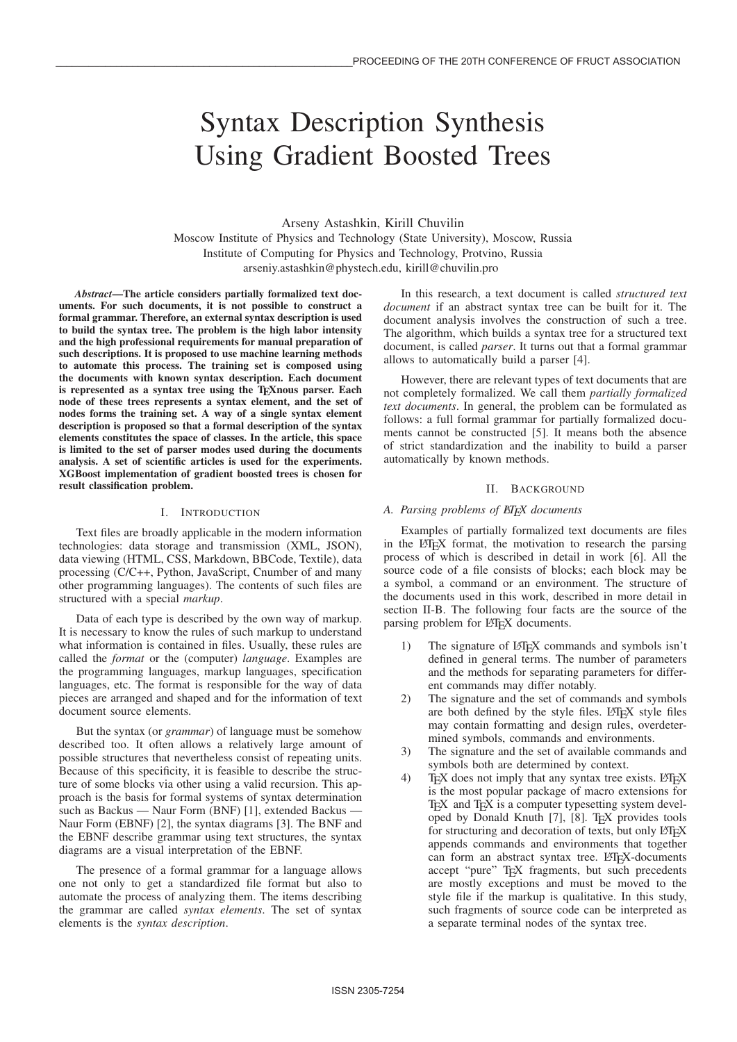# Syntax Description Synthesis Using Gradient Boosted Trees

Arseny Astashkin, Kirill Chuvilin

Moscow Institute of Physics and Technology (State University), Moscow, Russia Institute of Computing for Physics and Technology, Protvino, Russia arseniy.astashkin@phystech.edu, kirill@chuvilin.pro

*Abstract*—The article considers partially formalized text documents. For such documents, it is not possible to construct a formal grammar. Therefore, an external syntax description is used to build the syntax tree. The problem is the high labor intensity and the high professional requirements for manual preparation of such descriptions. It is proposed to use machine learning methods to automate this process. The training set is composed using the documents with known syntax description. Each document is represented as a syntax tree using the TEXnous parser. Each node of these trees represents a syntax element, and the set of nodes forms the training set. A way of a single syntax element description is proposed so that a formal description of the syntax elements constitutes the space of classes. In the article, this space is limited to the set of parser modes used during the documents analysis. A set of scientific articles is used for the experiments. XGBoost implementation of gradient boosted trees is chosen for result classification problem.

## I. INTRODUCTION

Text files are broadly applicable in the modern information technologies: data storage and transmission (XML, JSON), data viewing (HTML, CSS, Markdown, BBCode, Textile), data processing (C/C++, Python, JavaScript, Cnumber of and many other programming languages). The contents of such files are structured with a special *markup*.

Data of each type is described by the own way of markup. It is necessary to know the rules of such markup to understand what information is contained in files. Usually, these rules are called the *format* or the (computer) *language*. Examples are the programming languages, markup languages, specification languages, etc. The format is responsible for the way of data pieces are arranged and shaped and for the information of text document source elements.

But the syntax (or *grammar*) of language must be somehow described too. It often allows a relatively large amount of possible structures that nevertheless consist of repeating units. Because of this specificity, it is feasible to describe the structure of some blocks via other using a valid recursion. This approach is the basis for formal systems of syntax determination such as Backus — Naur Form (BNF) [1], extended Backus — Naur Form (EBNF) [2], the syntax diagrams [3]. The BNF and the EBNF describe grammar using text structures, the syntax diagrams are a visual interpretation of the EBNF.

The presence of a formal grammar for a language allows one not only to get a standardized file format but also to automate the process of analyzing them. The items describing the grammar are called *syntax elements*. The set of syntax elements is the *syntax description*.

In this research, a text document is called *structured text document* if an abstract syntax tree can be built for it. The document analysis involves the construction of such a tree. The algorithm, which builds a syntax tree for a structured text document, is called *parser*. It turns out that a formal grammar allows to automatically build a parser [4].

However, there are relevant types of text documents that are not completely formalized. We call them *partially formalized text documents*. In general, the problem can be formulated as follows: a full formal grammar for partially formalized documents cannot be constructed [5]. It means both the absence of strict standardization and the inability to build a parser automatically by known methods.

## II. BACKGROUND

## A. Parsing problems of ET<sub>F</sub>X documents

Examples of partially formalized text documents are files in the LAT<sub>E</sub>X format, the motivation to research the parsing process of which is described in detail in work [6]. All the source code of a file consists of blocks; each block may be a symbol, a command or an environment. The structure of the documents used in this work, described in more detail in section II-B. The following four facts are the source of the parsing problem for LATEX documents.

- 1) The signature of LAT<sub>EX</sub> commands and symbols isn't defined in general terms. The number of parameters and the methods for separating parameters for different commands may differ notably.
- 2) The signature and the set of commands and symbols are both defined by the style files. LATEX style files may contain formatting and design rules, overdetermined symbols, commands and environments.
- 3) The signature and the set of available commands and symbols both are determined by context.
- 4) TEX does not imply that any syntax tree exists. LATEX is the most popular package of macro extensions for T<sub>E</sub>X and T<sub>E</sub>X is a computer typesetting system developed by Donald Knuth [7], [8]. TEX provides tools for structuring and decoration of texts, but only LATEX appends commands and environments that together can form an abstract syntax tree. LATEX-documents accept "pure" T<sub>EX</sub> fragments, but such precedents are mostly exceptions and must be moved to the style file if the markup is qualitative. In this study, such fragments of source code can be interpreted as a separate terminal nodes of the syntax tree.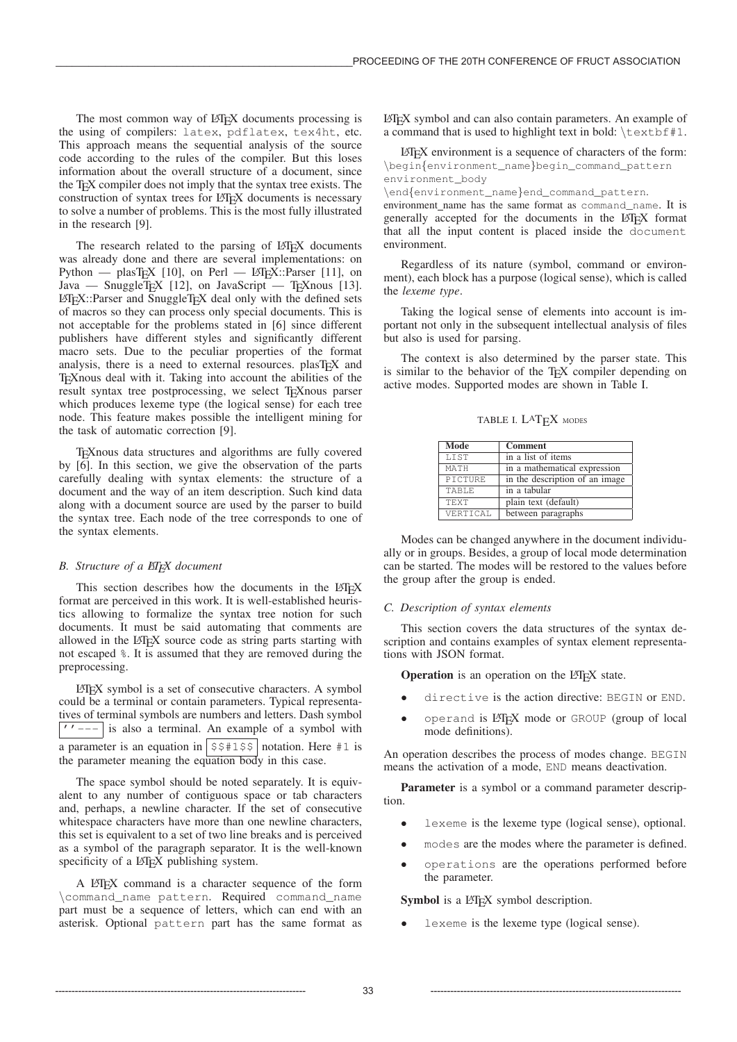The most common way of LATEX documents processing is the using of compilers: latex, pdflatex, tex4ht, etc. This approach means the sequential analysis of the source code according to the rules of the compiler. But this loses information about the overall structure of a document, since the T<sub>E</sub>X compiler does not imply that the syntax tree exists. The construction of syntax trees for LATEX documents is necessary to solve a number of problems. This is the most fully illustrated in the research [9].

The research related to the parsing of LATEX documents was already done and there are several implementations: on Python — plasT<sub>E</sub>X [10], on Perl — LAT<sub>E</sub>X::Parser [11], on Java — SnuggleTEX [12], on JavaScript — TEXnous [13]. LATEX::Parser and SnuggleTEX deal only with the defined sets of macros so they can process only special documents. This is not acceptable for the problems stated in [6] since different publishers have different styles and significantly different macro sets. Due to the peculiar properties of the format analysis, there is a need to external resources. plasTEX and TEXnous deal with it. Taking into account the abilities of the result syntax tree postprocessing, we select T<sub>E</sub>Xnous parser which produces lexeme type (the logical sense) for each tree node. This feature makes possible the intelligent mining for the task of automatic correction [9].

TEXnous data structures and algorithms are fully covered by [6]. In this section, we give the observation of the parts carefully dealing with syntax elements: the structure of a document and the way of an item description. Such kind data along with a document source are used by the parser to build the syntax tree. Each node of the tree corresponds to one of the syntax elements.

# *B. Structure of a LATEX document*

This section describes how the documents in the LATEX format are perceived in this work. It is well-established heuristics allowing to formalize the syntax tree notion for such documents. It must be said automating that comments are allowed in the LAT<sub>E</sub>X source code as string parts starting with not escaped %. It is assumed that they are removed during the preprocessing.

LATEX symbol is a set of consecutive characters. A symbol could be a terminal or contain parameters. Typical representatives of terminal symbols are numbers and letters. Dash symbol  $\vert$ ''--- $\vert$  is also a terminal. An example of a symbol with a parameter is an equation in  $|$  \$\$#1\$\$ notation. Here #1 is the parameter meaning the equation body in this case.

The space symbol should be noted separately. It is equivalent to any number of contiguous space or tab characters and, perhaps, a newline character. If the set of consecutive whitespace characters have more than one newline characters, this set is equivalent to a set of two line breaks and is perceived as a symbol of the paragraph separator. It is the well-known specificity of a LAT<sub>E</sub>X publishing system.

A LATEX command is a character sequence of the form \command\_name pattern. Required command\_name part must be a sequence of letters, which can end with an asterisk. Optional pattern part has the same format as

LATEX symbol and can also contain parameters. An example of a command that is used to highlight text in bold:  $\text{text}$  + 1.

LATEX environment is a sequence of characters of the form: \begin{environment\_name}begin\_command\_pattern environment\_body

\end{environment\_name}end\_command\_pattern.

environment name has the same format as command\_name. It is generally accepted for the documents in the LAT<sub>EX</sub> format that all the input content is placed inside the document environment.

Regardless of its nature (symbol, command or environment), each block has a purpose (logical sense), which is called the *lexeme type*.

Taking the logical sense of elements into account is important not only in the subsequent intellectual analysis of files but also is used for parsing.

The context is also determined by the parser state. This is similar to the behavior of the TEX compiler depending on active modes. Supported modes are shown in Table I.

TABLE I. L<sup>A</sup>T<sub>F</sub>X MODES

| Mode         | <b>Comment</b>                 |
|--------------|--------------------------------|
| <b>LTST</b>  | in a list of items             |
| MATH         | in a mathematical expression   |
| PICTURE      | in the description of an image |
| <b>TABLE</b> | in a tabular                   |
| <b>TEXT</b>  | plain text (default)           |
| VERTICAL     | between paragraphs             |

Modes can be changed anywhere in the document individually or in groups. Besides, a group of local mode determination can be started. The modes will be restored to the values before the group after the group is ended.

## *C. Description of syntax elements*

This section covers the data structures of the syntax description and contains examples of syntax element representations with JSON format.

**Operation** is an operation on the LAT<sub>E</sub>X state.

- directive is the action directive: BEGIN or END.
- operand is LATEX mode or GROUP (group of local mode definitions).

An operation describes the process of modes change. BEGIN means the activation of a mode, END means deactivation.

Parameter is a symbol or a command parameter description.

- lexeme is the lexeme type (logical sense), optional.
- modes are the modes where the parameter is defined.
- operations are the operations performed before the parameter.

# Symbol is a LATEX symbol description.

• lexeme is the lexeme type (logical sense).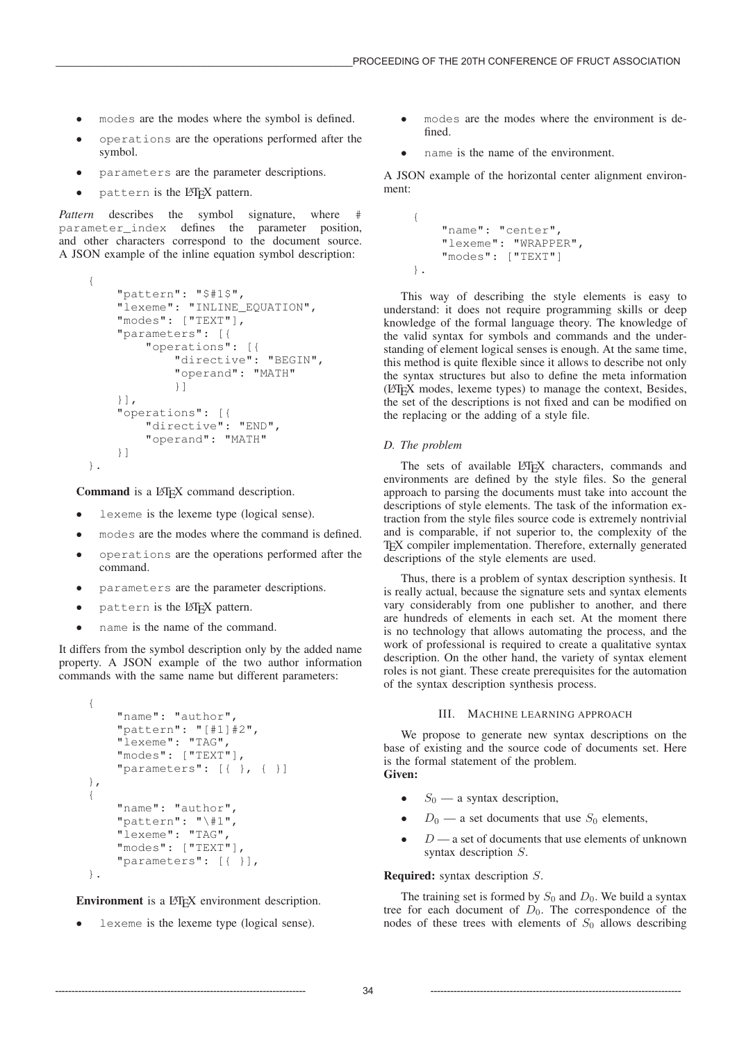- modes are the modes where the symbol is defined.
- operations are the operations performed after the symbol.
- parameters are the parameter descriptions.
- pattern is the LAT<sub>EX</sub> pattern.

*Pattern* describes the symbol signature, where parameter\_index defines the parameter position, and other characters correspond to the document source. A JSON example of the inline equation symbol description:

```
{
    "pattern": "$#1$",
    "lexeme": "INLINE_EQUATION",
    "modes": ["TEXT"],
    "parameters": [{
        "operations": [{
            "directive": "BEGIN",
            "operand": "MATH"
            }]
    }],
    "operations": [{
        "directive": "END",
        "operand": "MATH"
    }]
}.
```
Command is a LAT<sub>EX</sub> command description.

- lexeme is the lexeme type (logical sense).
- modes are the modes where the command is defined.
- operations are the operations performed after the command.
- parameters are the parameter descriptions.
- pattern is the LATEX pattern.
- name is the name of the command.

It differs from the symbol description only by the added name property. A JSON example of the two author information commands with the same name but different parameters:

```
{
    "name": "author",
    "pattern": "[#1]#2",
    "lexeme": "TAG",
    "modes": ["TEXT"],
    "parameters": [ { } \} , { }},
{
    "name": "author",
    "pattern": "\#1",
    "lexeme": "TAG",
    "modes": ["TEXT"],
    "parameters": [{ }],
}.
```
Environment is a L<sub>HE</sub>X environment description.

• lexeme is the lexeme type (logical sense).

- modes are the modes where the environment is defined.
- name is the name of the environment.

A JSON example of the horizontal center alignment environment:

```
{
    "name": "center",
    "lexeme": "WRAPPER",
    "modes": ["TEXT"]
}.
```
This way of describing the style elements is easy to understand: it does not require programming skills or deep knowledge of the formal language theory. The knowledge of the valid syntax for symbols and commands and the understanding of element logical senses is enough. At the same time, this method is quite flexible since it allows to describe not only the syntax structures but also to define the meta information (LATEX modes, lexeme types) to manage the context, Besides, the set of the descriptions is not fixed and can be modified on the replacing or the adding of a style file.

#### *D. The problem*

The sets of available LATEX characters, commands and environments are defined by the style files. So the general approach to parsing the documents must take into account the descriptions of style elements. The task of the information extraction from the style files source code is extremely nontrivial and is comparable, if not superior to, the complexity of the TEX compiler implementation. Therefore, externally generated descriptions of the style elements are used.

Thus, there is a problem of syntax description synthesis. It is really actual, because the signature sets and syntax elements vary considerably from one publisher to another, and there are hundreds of elements in each set. At the moment there is no technology that allows automating the process, and the work of professional is required to create a qualitative syntax description. On the other hand, the variety of syntax element roles is not giant. These create prerequisites for the automation of the syntax description synthesis process.

#### III. MACHINE LEARNING APPROACH

We propose to generate new syntax descriptions on the base of existing and the source code of documents set. Here is the formal statement of the problem. Given:

- $S_0$  a syntax description,
- $D_0$  a set documents that use  $S_0$  elements,
- $D$  a set of documents that use elements of unknown syntax description S.

# Required: syntax description S.

The training set is formed by  $S_0$  and  $D_0$ . We build a syntax tree for each document of  $D_0$ . The correspondence of the nodes of these trees with elements of  $S_0$  allows describing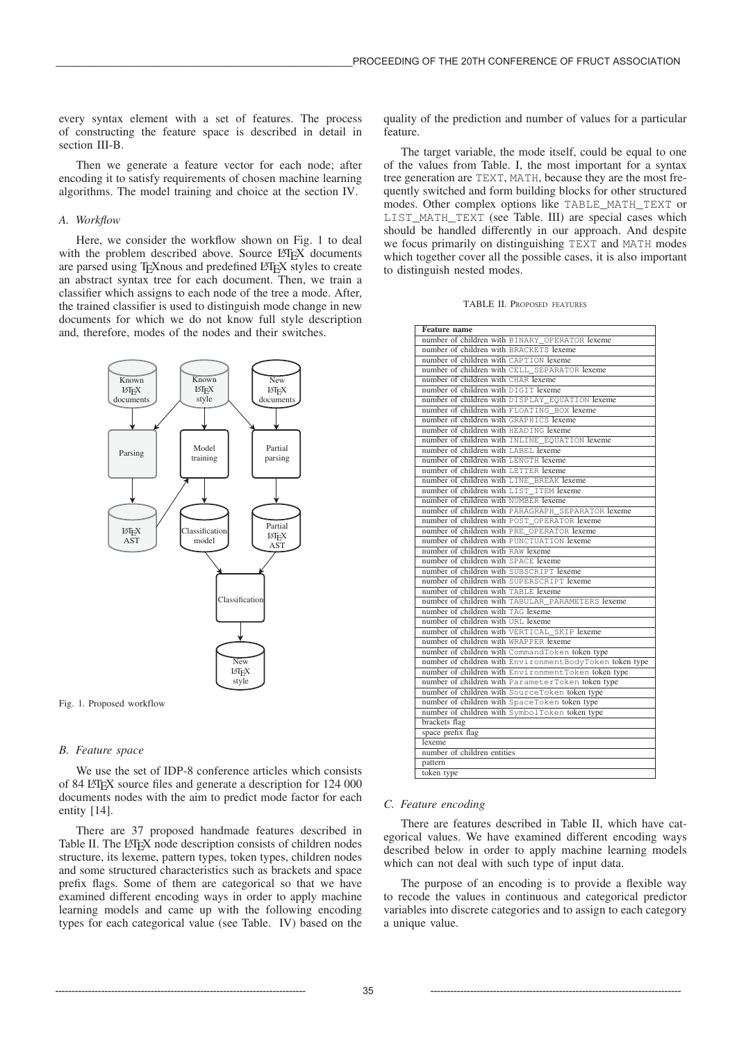every syntax element with a set of features. The process of constructing the feature space is described in detail in section III-B.

Then we generate a feature vector for each node; after encoding it to satisfy requirements of chosen machine learning algorithms. The model training and choice at the section IV.

## *A. Workflow*

Here, we consider the workflow shown on Fig. 1 to deal with the problem described above. Source LATEX documents are parsed using T<sub>E</sub>Xnous and predefined LAT<sub>E</sub>X styles to create an abstract syntax tree for each document. Then, we train a classifier which assigns to each node of the tree a mode. After, the trained classifier is used to distinguish mode change in new documents for which we do not know full style description and, therefore, modes of the nodes and their switches.



Fig. 1. Proposed workflow

## *B. Feature space*

We use the set of IDP-8 conference articles which consists of 84 LATEX source files and generate a description for 124 000 documents nodes with the aim to predict mode factor for each entity [14].

There are 37 proposed handmade features described in Table II. The LATEX node description consists of children nodes structure, its lexeme, pattern types, token types, children nodes and some structured characteristics such as brackets and space prefix flags. Some of them are categorical so that we have examined different encoding ways in order to apply machine learning models and came up with the following encoding types for each categorical value (see Table. IV) based on the quality of the prediction and number of values for a particular feature.

The target variable, the mode itself, could be equal to one of the values from Table. I, the most important for a syntax tree generation are TEXT, MATH, because they are the most frequently switched and form building blocks for other structured modes. Other complex options like TABLE\_MATH\_TEXT or LIST\_MATH\_TEXT (see Table. III) are special cases which should be handled differently in our approach. And despite we focus primarily on distinguishing TEXT and MATH modes which together cover all the possible cases, it is also important to distinguish nested modes.

| <b>TABLE II. PROPOSED FEATURES</b> |  |
|------------------------------------|--|
|                                    |  |

| <b>Feature</b> name                                     |
|---------------------------------------------------------|
| number of children with BINARY OPERATOR lexeme          |
| number of children with BRACKETS lexeme                 |
| number of children with CAPTION lexeme                  |
| number of children with CELL SEPARATOR lexeme           |
| number of children with CHAR lexeme                     |
| number of children with DIGIT lexeme                    |
| number of children with DISPLAY EQUATION lexeme         |
| number of children with FLOATING BOX lexeme             |
| number of children with GRAPHICS lexeme                 |
| number of children with HEADING lexeme                  |
| number of children with INLINE_EQUATION lexeme          |
| number of children with LABEL lexeme                    |
| number of children with LENGTH lexeme                   |
| number of children with LETTER lexeme                   |
| number of children with LINE BREAK lexeme               |
| number of children with LIST_ITEM lexeme                |
| number of children with NUMBER lexeme                   |
| number of children with PARAGRAPH SEPARATOR lexeme      |
| number of children with POST_OPERATOR lexeme            |
| number of children with PRE OPERATOR lexeme             |
| number of children with PUNCTUATION lexeme              |
| number of children with RAW lexeme                      |
| number of children with SPACE lexeme                    |
| number of children with SUBSCRIPT lexeme                |
| number of children with SUPERSCRIPT lexeme              |
| number of children with TABLE lexeme                    |
| number of children with TABULAR_PARAMETERS lexeme       |
| number of children with TAG lexeme                      |
| number of children with URL lexeme                      |
| number of children with VERTICAL SKIP lexeme            |
| number of children with WRAPPER lexeme                  |
| number of children with CommandToken token type         |
| number of children with EnvironmentBodyToken token type |
| number of children with Environment Token token type    |
| number of children with ParameterToken token type       |
| number of children with SourceToken token type          |
| number of children with SpaceToken token type           |
| number of children with SymbolToken token type          |
| brackets flag                                           |
| space prefix flag                                       |
| lexeme                                                  |
| number of children entities                             |
| pattern                                                 |
| token type                                              |

#### *C. Feature encoding*

There are features described in Table II, which have categorical values. We have examined different encoding ways described below in order to apply machine learning models which can not deal with such type of input data.

The purpose of an encoding is to provide a flexible way to recode the values in continuous and categorical predictor variables into discrete categories and to assign to each category a unique value.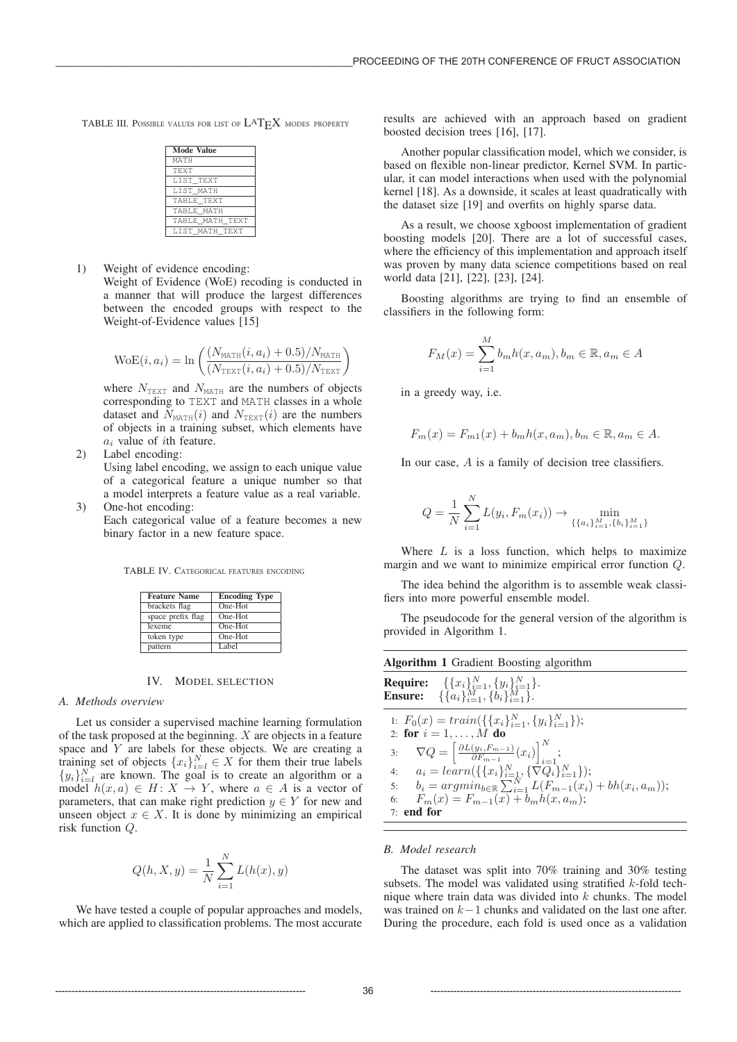TABLE III. POSSIBLE VALUES FOR LIST OF  $\text{LAT}_{\text{F}}X$  modes property

| <b>Mode Value</b> |
|-------------------|
| МАТН              |
| <b>TF.XT</b>      |
| LIST TEXT         |
| LIST MATH         |
| TABLE TEXT        |
| TABLE MATH        |
| TABLE MATH TEXT   |
| LIST MATH TEXT    |

1) Weight of evidence encoding:

Weight of Evidence (WoE) recoding is conducted in a manner that will produce the largest differences between the encoded groups with respect to the Weight-of-Evidence values [15]

$$
WoE(i, a_i) = \ln \left( \frac{(N_{MATH}(i, a_i) + 0.5)/N_{MATH}}{(N_{TEXT}(i, a_i) + 0.5)/N_{TEXT}} \right)
$$

where  $N_{\text{TEXT}}$  and  $N_{\text{MATH}}$  are the numbers of objects corresponding to TEXT and MATH classes in a whole dataset and  $N_{\text{MATH}}(i)$  and  $N_{\text{TEXT}}(i)$  are the numbers of objects in a training subset, which elements have  $a_i$  value of *i*th feature.

2) Label encoding:

Using label encoding, we assign to each unique value of a categorical feature a unique number so that a model interprets a feature value as a real variable. 3) One-hot encoding:

Each categorical value of a feature becomes a new binary factor in a new feature space.

TABLE IV. CATEGORICAL FEATURES ENCODING

| <b>Feature Name</b> | <b>Encoding Type</b> |
|---------------------|----------------------|
| brackets flag       | One-Hot              |
| space prefix flag   | One-Hot              |
| lexeme              | One-Hot              |
| token type          | One-Hot              |
| pattern             | Label                |

#### IV. MODEL SELECTION

### *A. Methods overview*

Let us consider a supervised machine learning formulation of the task proposed at the beginning.  $X$  are objects in a feature space and  $Y$  are labels for these objects. We are creating a space and Y are labels for these objects. We are creating a<br>training set of objects  $\{x_i\}^N$ ,  $\in X$  for them their true labels training set of objects  $\{x_i\}_{i=l}^N \in X$  for them their true labels  $\{y_i\}_{i=1}^N$  are known. The soal is to create an algorithm or a  $\{y_i\}_{i=l}^N$  are known. The goal is to create an algorithm or a model  $h(r, a) \in H \cdot X \to Y$  where  $a \in A$  is a vector of model  $h(x, a) \in H : X \to Y$ , where  $a \in A$  is a vector of parameters, that can make right prediction  $y \in Y$  for new and unseen object  $x \in X$ . It is done by minimizing an empirical risk function Q.

$$
Q(h, X, y) = \frac{1}{N} \sum_{i=1}^{N} L(h(x), y)
$$

We have tested a couple of popular approaches and models, which are applied to classification problems. The most accurate results are achieved with an approach based on gradient boosted decision trees [16], [17].

Another popular classification model, which we consider, is based on flexible non-linear predictor, Kernel SVM. In particular, it can model interactions when used with the polynomial kernel [18]. As a downside, it scales at least quadratically with the dataset size [19] and overfits on highly sparse data.

As a result, we choose xgboost implementation of gradient boosting models [20]. There are a lot of successful cases, where the efficiency of this implementation and approach itself was proven by many data science competitions based on real world data [21], [22], [23], [24].

Boosting algorithms are trying to find an ensemble of classifiers in the following form:

$$
F_M(x) = \sum_{i=1}^{M} b_m h(x, a_m), b_m \in \mathbb{R}, a_m \in A
$$

in a greedy way, i.e.

$$
F_m(x) = F_{m1}(x) + b_m h(x, a_m), b_m \in \mathbb{R}, a_m \in A.
$$

In our case, A is a family of decision tree classifiers.

$$
Q = \frac{1}{N} \sum_{i=1}^{N} L(y_i, F_m(x_i)) \to \min_{\{\{a_i\}_{i=1}^{M}, \{b_i\}_{i=1}^{M}\}}
$$

Where  $L$  is a loss function, which helps to maximize margin and we want to minimize empirical error function Q.

The idea behind the algorithm is to assemble weak classifiers into more powerful ensemble model.

The pseudocode for the general version of the algorithm is provided in Algorithm 1.

| <b>Algorithm 1</b> Gradient Boosting algorithm |                                                                                                                                                                                        |  |  |
|------------------------------------------------|----------------------------------------------------------------------------------------------------------------------------------------------------------------------------------------|--|--|
|                                                | <b>Require:</b> $\{\{x_i\}_{i=1}^N, \{y_i\}_{i=1}^N\}.$<br><b>Ensure:</b> $\{\{a_i\}_{i=1}^M, \{b_i\}_{i=1}^M\}$ .                                                                     |  |  |
|                                                | 1: $F_0(x) = train(\{\{x_i\}_{i=1}^N, \{y_i\}_{i=1}^N\});$<br>2: for $i = 1, , M$ do<br>3: $\nabla Q = \left[ \frac{\partial L(y_i, F_{m-1})}{\partial F_{m-1}}(x_i) \right]_{i=1}^N;$ |  |  |
|                                                | 4: $a_i = learn(\{\{x_i\}_{i=1}^N, \{\nabla \hat{Q}_i\}_{i=1}^N\});$<br>5: $b_i = argmin_{b \in \mathbb{R}} \sum_{i=1}^N L(F_{m-1}(x_i) + bh(x_i, a_m));$                              |  |  |
| 6:                                             | $F_m(x) = F_{m-1}(x) + b_m h(x, a_m);$                                                                                                                                                 |  |  |
| $7:$ end for                                   |                                                                                                                                                                                        |  |  |
|                                                |                                                                                                                                                                                        |  |  |

#### *B. Model research*

The dataset was split into 70% training and 30% testing subsets. The model was validated using stratified  $k$ -fold technique where train data was divided into  $k$  chunks. The model was trained on k−<sup>1</sup> chunks and validated on the last one after. During the procedure, each fold is used once as a validation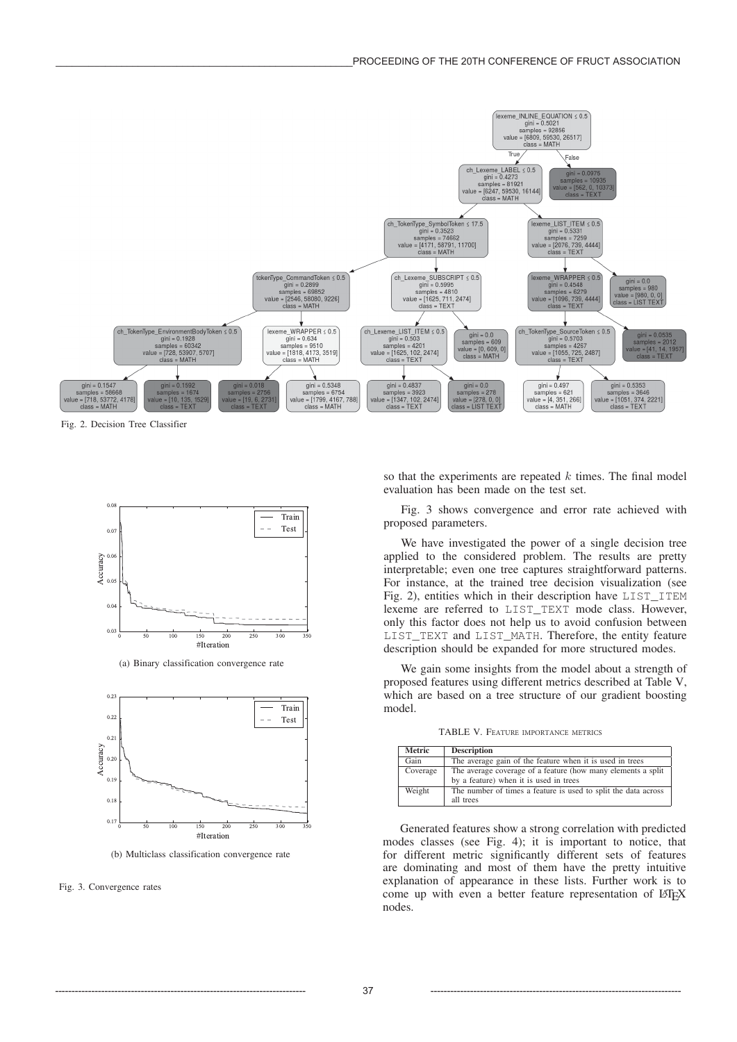

Fig. 2. Decision Tree Classifier



(a) Binary classification convergence rate



(b) Multiclass classification convergence rate

Fig. 3. Convergence rates

so that the experiments are repeated  $k$  times. The final model evaluation has been made on the test set.

Fig. 3 shows convergence and error rate achieved with proposed parameters.

We have investigated the power of a single decision tree applied to the considered problem. The results are pretty interpretable; even one tree captures straightforward patterns. For instance, at the trained tree decision visualization (see Fig. 2), entities which in their description have LIST\_ITEM lexeme are referred to LIST\_TEXT mode class. However, only this factor does not help us to avoid confusion between LIST\_TEXT and LIST\_MATH. Therefore, the entity feature description should be expanded for more structured modes.

We gain some insights from the model about a strength of proposed features using different metrics described at Table V, which are based on a tree structure of our gradient boosting model.

TABLE V. FEATURE IMPORTANCE METRICS

| <b>Metric</b> | <b>Description</b>                                             |  |  |
|---------------|----------------------------------------------------------------|--|--|
| Gain          | The average gain of the feature when it is used in trees       |  |  |
| Coverage      | The average coverage of a feature (how many elements a split)  |  |  |
|               | by a feature) when it is used in trees                         |  |  |
| Weight        | The number of times a feature is used to split the data across |  |  |
|               | all trees                                                      |  |  |

Generated features show a strong correlation with predicted modes classes (see Fig. 4); it is important to notice, that for different metric significantly different sets of features are dominating and most of them have the pretty intuitive explanation of appearance in these lists. Further work is to come up with even a better feature representation of LATEX nodes.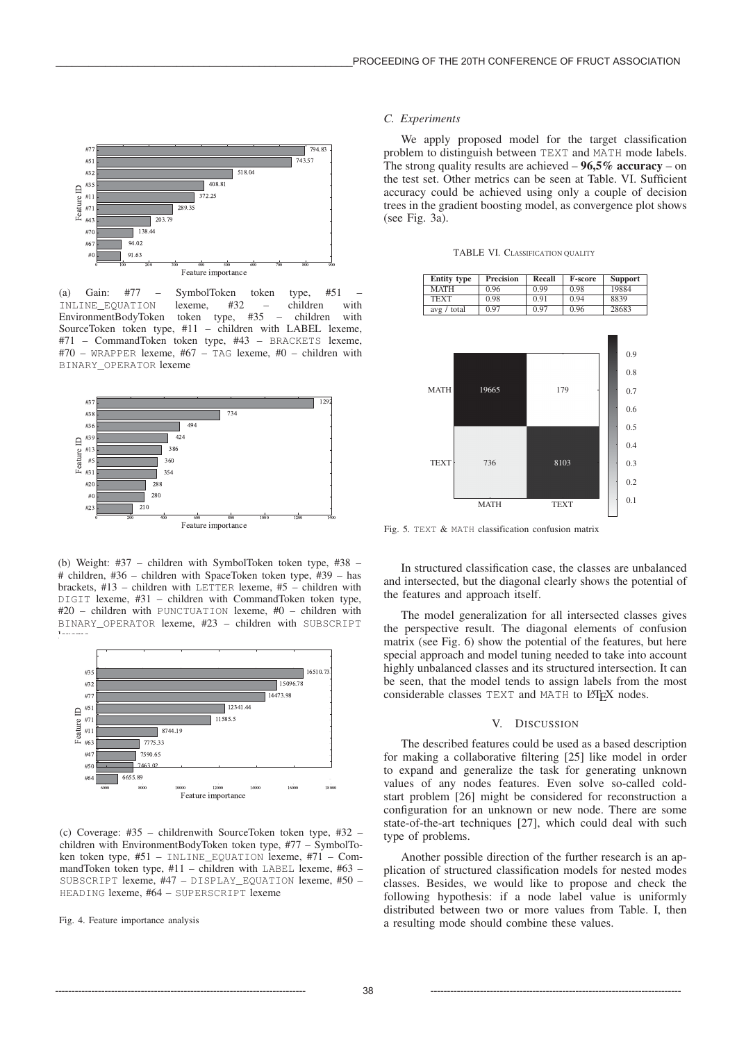

(a) Gain: #77 – SymbolToken token type, #51 – INLINE\_EQUATION lexeme, #32 – children with<br>EnvironmentBodyToken token type, #35 – children with EnvironmentBodyToken token type, #35 – children with SourceToken token type, #11 – children with LABEL lexeme, #71 – CommandToken token type, #43 – BRACKETS lexeme, #70 – WRAPPER lexeme, #67 – TAG lexeme, #0 – children with BINARY\_OPERATOR lexeme



(b) Weight: #37 – children with SymbolToken token type, #38 – # children, #36 – children with SpaceToken token type, #39 – has brackets, #13 – children with LETTER lexeme, #5 – children with DIGIT lexeme, #31 – children with CommandToken token type, #20 – children with PUNCTUATION lexeme, #0 – children with BINARY\_OPERATOR lexeme, #23 – children with SUBSCRIPT lexemen<br>.



(c) Coverage: #35 – childrenwith SourceToken token type, #32 – children with EnvironmentBodyToken token type, #77 – SymbolToken token type, #51 – INLINE\_EQUATION lexeme, #71 – CommandToken token type, #11 – children with LABEL lexeme, #63 – SUBSCRIPT lexeme, #47 – DISPLAY\_EQUATION lexeme, #50 – HEADING lexeme, #64 – SUPERSCRIPT lexeme

Fig. 4. Feature importance analysis

## *C. Experiments*

We apply proposed model for the target classification problem to distinguish between TEXT and MATH mode labels. The strong quality results are achieved  $-96,5%$  accuracy – on the test set. Other metrics can be seen at Table. VI. Sufficient accuracy could be achieved using only a couple of decision trees in the gradient boosting model, as convergence plot shows (see Fig. 3a).

TABLE VI. CLASSIFICATION QUALITY

| <b>Entity type</b> | <b>Precision</b> | <b>Recall</b> | <b>F-score</b> | Support |
|--------------------|------------------|---------------|----------------|---------|
| <b>MATH</b>        | 0.96             | 0.99          | 0.98           | 19884   |
| <b>TEXT</b>        | 0.98             | 0.91          | 0.94           | 8839    |
| avg / total        | 0.97             | 0.97          | 0.96           | 28683   |
|                    |                  |               |                |         |



Fig. 5. TEXT & MATH classification confusion matrix

In structured classification case, the classes are unbalanced and intersected, but the diagonal clearly shows the potential of the features and approach itself.

The model generalization for all intersected classes gives the perspective result. The diagonal elements of confusion matrix (see Fig. 6) show the potential of the features, but here special approach and model tuning needed to take into account highly unbalanced classes and its structured intersection. It can be seen, that the model tends to assign labels from the most considerable classes TEXT and MATH to LATEX nodes.

# V. DISCUSSION

The described features could be used as a based description for making a collaborative filtering [25] like model in order to expand and generalize the task for generating unknown values of any nodes features. Even solve so-called coldstart problem [26] might be considered for reconstruction a configuration for an unknown or new node. There are some state-of-the-art techniques [27], which could deal with such type of problems.

Another possible direction of the further research is an application of structured classification models for nested modes classes. Besides, we would like to propose and check the following hypothesis: if a node label value is uniformly distributed between two or more values from Table. I, then a resulting mode should combine these values.